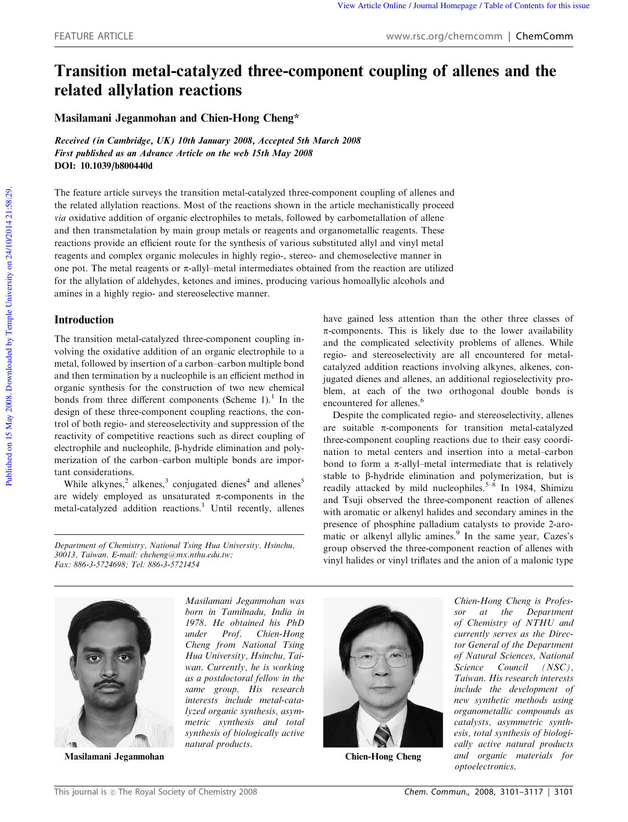# Transition metal-catalyzed three-component coupling of allenes and the related allylation reactions

Masilamani Jeganmohan and Chien-Hong Cheng\*

Received (in Cambridge, UK) 10th January 2008, Accepted 5th March 2008 First published as an Advance Article on the web 15th May 2008 DOI: 10.1039/b800440d

The feature article surveys the transition metal-catalyzed three-component coupling of allenes and the related allylation reactions. Most of the reactions shown in the article mechanistically proceed *via* oxidative addition of organic electrophiles to metals, followed by carbometallation of allene and then transmetalation by main group metals or reagents and organometallic reagents. These reactions provide an efficient route for the synthesis of various substituted allyl and vinyl metal reagents and complex organic molecules in highly regio-, stereo- and chemoselective manner in one pot. The metal reagents or  $\pi$ -allyl–metal intermediates obtained from the reaction are utilized for the allylation of aldehydes, ketones and imines, producing various homoallylic alcohols and amines in a highly regio- and stereoselective manner.

## Introduction

The transition metal-catalyzed three-component coupling involving the oxidative addition of an organic electrophile to a metal, followed by insertion of a carbon–carbon multiple bond and then termination by a nucleophile is an efficient method in organic synthesis for the construction of two new chemical bonds from three different components (Scheme  $1$ ).<sup>1</sup> In the design of these three-component coupling reactions, the control of both regio- and stereoselectivity and suppression of the reactivity of competitive reactions such as direct coupling of electrophile and nucleophile, β-hydride elimination and polymerization of the carbon–carbon multiple bonds are important considerations.

While alkynes,<sup>2</sup> alkenes,<sup>3</sup> conjugated dienes<sup>4</sup> and allenes<sup>5</sup> are widely employed as unsaturated  $\pi$ -components in the metal-catalyzed addition reactions.<sup>1</sup> Until recently, allenes

*Department of Chemistry, National Tsing Hua University, Hsinchu, 30013, Taiwan. E-mail: chcheng@mx.nthu.edu.tw; Fax: 886-3-5724698; Tel: 886-3-5721454*

have gained less attention than the other three classes of  $\pi$ -components. This is likely due to the lower availability and the complicated selectivity problems of allenes. While regio- and stereoselectivity are all encountered for metalcatalyzed addition reactions involving alkynes, alkenes, conjugated dienes and allenes, an additional regioselectivity problem, at each of the two orthogonal double bonds is encountered for allenes.<sup>6</sup>

Despite the complicated regio- and stereoselectivity, allenes are suitable  $\pi$ -components for transition metal-catalyzed three-component coupling reactions due to their easy coordination to metal centers and insertion into a metal–carbon bond to form a  $\pi$ -allyl–metal intermediate that is relatively stable to  $\beta$ -hydride elimination and polymerization, but is readily attacked by mild nucleophiles.<sup>5-8</sup> In 1984, Shimizu and Tsuji observed the three-component reaction of allenes with aromatic or alkenyl halides and secondary amines in the presence of phosphine palladium catalysts to provide 2-aromatic or alkenyl allylic amines.<sup>9</sup> In the same year, Cazes's group observed the three-component reaction of allenes with vinyl halides or vinyl triflates and the anion of a malonic type



Masilamani Jeganmohan

*Masilamani Jeganmohan was born in Tamilnadu, India in 1978. He obtained his PhD under Prof. Chien-Hong Cheng from National Tsing Hua University, Hsinchu, Taiwan. Currently, he is working as a postdoctoral fellow in the same group. His research interests include metal-catalyzed organic synthesis, asymmetric synthesis and total synthesis of biologically active natural products.*

Chien-Hong Cheng

*Chien-Hong Cheng is Professor at the Department of Chemistry of NTHU and currently serves as the Director General of the Department of Natural Sciences, National Science Council (NSC), Taiwan. His research interests include the development of new synthetic methods using organometallic compounds as catalysts, asymmetric synthesis, total synthesis of biologically active natural products and organic materials for optoelectronics.*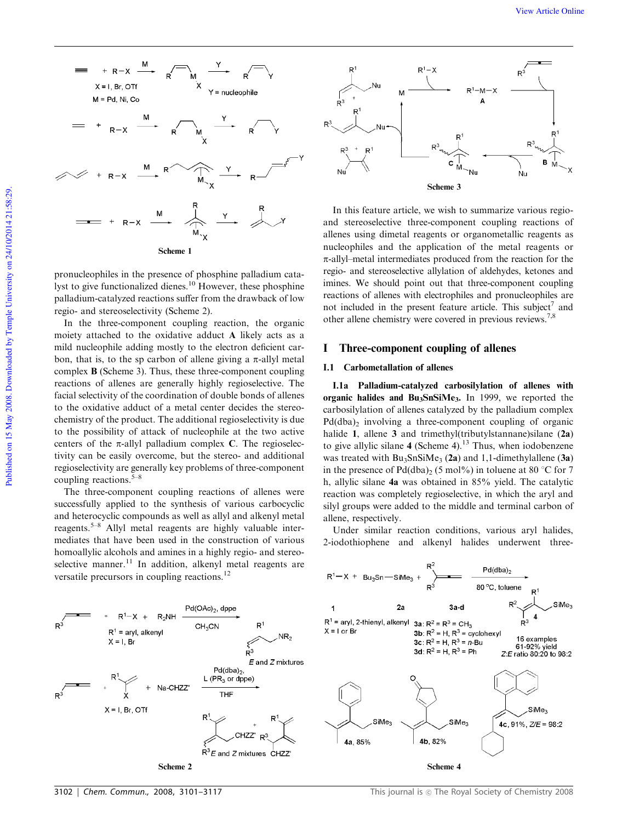

pronucleophiles in the presence of phosphine palladium catalyst to give functionalized dienes.<sup>10</sup> However, these phosphine palladium-catalyzed reactions suffer from the drawback of low regio- and stereoselectivity (Scheme 2).

In the three-component coupling reaction, the organic moiety attached to the oxidative adduct A likely acts as a mild nucleophile adding mostly to the electron deficient carbon, that is, to the sp carbon of allene giving a  $\pi$ -allyl metal complex B (Scheme 3). Thus, these three-component coupling reactions of allenes are generally highly regioselective. The facial selectivity of the coordination of double bonds of allenes to the oxidative adduct of a metal center decides the stereochemistry of the product. The additional regioselectivity is due to the possibility of attack of nucleophile at the two active centers of the  $\pi$ -allyl palladium complex C. The regioselectivity can be easily overcome, but the stereo- and additional regioselectivity are generally key problems of three-component coupling reactions. $5-8$ 

The three-component coupling reactions of allenes were successfully applied to the synthesis of various carbocyclic and heterocyclic compounds as well as allyl and alkenyl metal reagents.5–8 Allyl metal reagents are highly valuable intermediates that have been used in the construction of various homoallylic alcohols and amines in a highly regio- and stereoselective manner. $11$  In addition, alkenyl metal reagents are versatile precursors in coupling reactions.<sup>12</sup>



In this feature article, we wish to summarize various regioand stereoselective three-component coupling reactions of allenes using dimetal reagents or organometallic reagents as nucleophiles and the application of the metal reagents or  $\pi$ -allyl–metal intermediates produced from the reaction for the regio- and stereoselective allylation of aldehydes, ketones and imines. We should point out that three-component coupling reactions of allenes with electrophiles and pronucleophiles are not included in the present feature article. This subject<sup>7</sup> and other allene chemistry were covered in previous reviews.7,8

#### I Three-component coupling of allenes

#### I.1 Carbometallation of allenes

I.1a Palladium-catalyzed carbosilylation of allenes with organic halides and Bu<sub>3</sub>SnSiMe<sub>3</sub>. In 1999, we reported the carbosilylation of allenes catalyzed by the palladium complex  $Pd(dba)<sub>2</sub>$  involving a three-component coupling of organic halide 1, allene 3 and trimethyl(tributylstannane)silane (2a) to give allylic silane 4 (Scheme 4).<sup>13</sup> Thus, when iodobenzene was treated with  $Bu_3SnSiMe_3$  (2a) and 1,1-dimethylallene (3a) in the presence of  $Pd(dba)_{2}$  (5 mol%) in toluene at 80 °C for 7 h, allylic silane 4a was obtained in 85% yield. The catalytic reaction was completely regioselective, in which the aryl and silyl groups were added to the middle and terminal carbon of allene, respectively.

Under similar reaction conditions, various aryl halides, 2-iodothiophene and alkenyl halides underwent three-

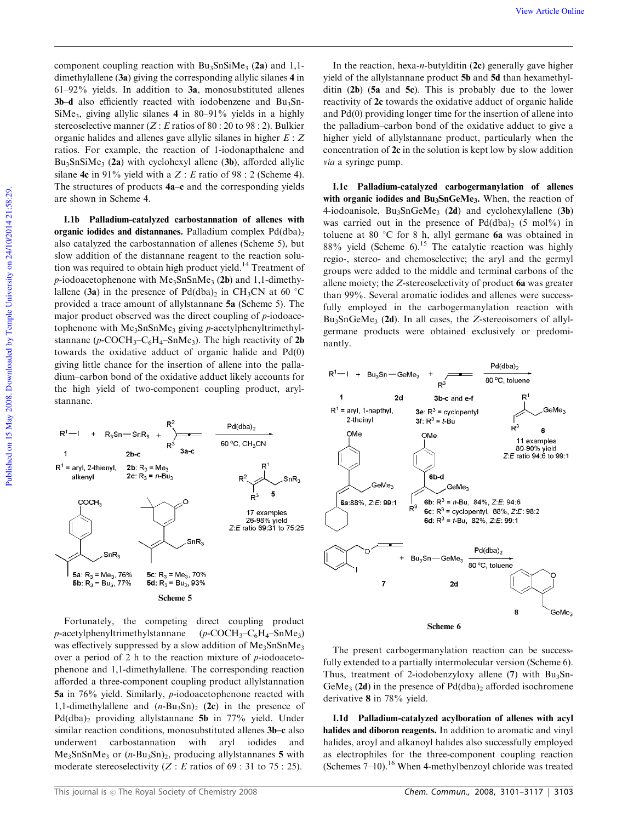component coupling reaction with  $Bu_3SnSiMe_3$  (2a) and 1,1dimethylallene (3a) giving the corresponding allylic silanes 4 in 61–92% yields. In addition to 3a, monosubstituted allenes 3b-d also efficiently reacted with iodobenzene and Bu<sub>3</sub>Sn-SiMe<sup>3</sup> , giving allylic silanes 4 in 80–91% yields in a highly stereoselective manner (*Z* : *E* ratios of 80 : 20 to 98 : 2). Bulkier organic halides and allenes gave allylic silanes in higher *E* : *Z* ratios. For example, the reaction of 1-iodonapthalene and  $Bu_3SnSiMe_3$  (2a) with cyclohexyl allene (3b), afforded allylic silane **4c** in 91% yield with a  $Z : E$  ratio of 98 : 2 (Scheme 4). The structures of products 4a–c and the corresponding yields are shown in Scheme 4.

I.1b Palladium-catalyzed carbostannation of allenes with organic iodides and distannanes. Palladium complex  $Pd(dba)$ <sub>2</sub> also catalyzed the carbostannation of allenes (Scheme 5), but slow addition of the distannane reagent to the reaction solution was required to obtain high product yield.<sup>14</sup> Treatment of *p*-iodoacetophenone with  $Me<sub>3</sub>SnSnMe<sub>3</sub>$  (2b) and 1,1-dimethylallene (3a) in the presence of  $Pd(dba)_2$  in CH<sub>3</sub>CN at 60 °C provided a trace amount of allylstannane 5a (Scheme 5). The major product observed was the direct coupling of *p*-iodoacetophenone with Me<sub>3</sub>SnSnMe<sub>3</sub> giving *p*-acetylphenyltrimethylstannane ( $p$ -COCH<sub>3</sub>-C<sub>6</sub>H<sub>4</sub>-SnMe<sub>3</sub>). The high reactivity of 2b towards the oxidative adduct of organic halide and Pd(0) giving little chance for the insertion of allene into the palladium–carbon bond of the oxidative adduct likely accounts for the high yield of two-component coupling product, arylstannane.



Fortunately, the competing direct coupling product *p*-acetylphenyltrimethylstannane  $(p$ -COCH<sub>3</sub>-C<sub>6</sub>H<sub>4</sub>-SnMe<sub>3</sub>) was effectively suppressed by a slow addition of  $Me<sub>3</sub>SnSnMe<sub>3</sub>$ over a period of 2 h to the reaction mixture of *p*-iodoacetophenone and 1,1-dimethylallene. The corresponding reaction afforded a three-component coupling product allylstannation 5a in 76% yield. Similarly, *p*-iodoacetophenone reacted with 1,1-dimethylallene and  $(n-Bu_3Sn)_2$  (2c) in the presence of Pd(dba)<sub>2</sub> providing allylstannane 5b in 77% yield. Under similar reaction conditions, monosubstituted allenes 3b–c also underwent carbostannation with aryl iodides and Me3SnSnMe<sup>3</sup> or (*n*-Bu3Sn)2, producing allylstannanes 5 with moderate stereoselectivity  $(Z : E$  ratios of 69 : 31 to 75 : 25).

In the reaction, hexa-*n*-butylditin (2c) generally gave higher yield of the allylstannane product 5b and 5d than hexamethylditin (2b) (5a and 5c). This is probably due to the lower reactivity of 2c towards the oxidative adduct of organic halide and Pd(0) providing longer time for the insertion of allene into the palladium–carbon bond of the oxidative adduct to give a higher yield of allylstannane product, particularly when the concentration of 2c in the solution is kept low by slow addition *via* a syringe pump.

I.1c Palladium-catalyzed carbogermanylation of allenes with organic iodides and Bu<sub>3</sub>SnGeMe<sub>3</sub>. When, the reaction of 4-iodoanisole,  $Bu_3SnGeMe_3$  (2d) and cyclohexylallene (3b) was carried out in the presence of  $Pd(dba)_2$  (5 mol%) in toluene at 80  $\degree$ C for 8 h, allyl germane 6a was obtained in 88% yield (Scheme 6).<sup>15</sup> The catalytic reaction was highly regio-, stereo- and chemoselective; the aryl and the germyl groups were added to the middle and terminal carbons of the allene moiety; the *Z*-stereoselectivity of product 6a was greater than 99%. Several aromatic iodides and allenes were successfully employed in the carbogermanylation reaction with Bu3SnGeMe<sup>3</sup> (2d). In all cases, the *Z*-stereoisomers of allylgermane products were obtained exclusively or predominantly.



The present carbogermanylation reaction can be successfully extended to a partially intermolecular version (Scheme 6). Thus, treatment of 2-iodobenzyloxy allene  $(7)$  with Bu<sub>3</sub>Sn-GeMe<sub>3</sub> (2d) in the presence of  $Pd(dba)_2$  afforded isochromene derivative 8 in 78% yield.

I.1d Palladium-catalyzed acylboration of allenes with acyl halides and diboron reagents. In addition to aromatic and vinyl halides, aroyl and alkanoyl halides also successfully employed as electrophiles for the three-component coupling reaction (Schemes  $7-10$ ).<sup>16</sup> When 4-methylbenzoyl chloride was treated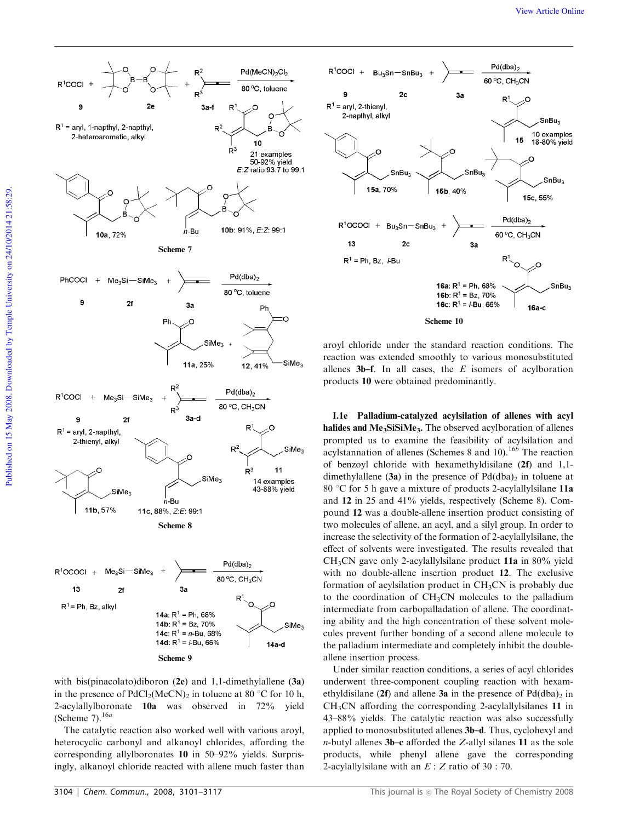

with bis(pinacolato)diboron (2e) and 1,1-dimethylallene (3a) in the presence of  $PdCl_2(MeCN)_2$  in toluene at 80 °C for 10 h, 2-acylallylboronate 10a was observed in 72% yield (Scheme 7).<sup>16*a*</sup>

The catalytic reaction also worked well with various aroyl, heterocyclic carbonyl and alkanoyl chlorides, affording the corresponding allylboronates 10 in 50–92% yields. Surprisingly, alkanoyl chloride reacted with allene much faster than



aroyl chloride under the standard reaction conditions. The reaction was extended smoothly to various monosubstituted allenes 3b–f. In all cases, the *E* isomers of acylboration products 10 were obtained predominantly.

I.1e Palladium-catalyzed acylsilation of allenes with acyl halides and Me<sub>3</sub>SiSiMe<sub>3</sub>. The observed acylboration of allenes prompted us to examine the feasibility of acylsilation and acylstannation of allenes (Schemes 8 and 10).16*<sup>b</sup>* The reaction of benzoyl chloride with hexamethyldisilane (2f) and 1,1 dimethylallene  $(3a)$  in the presence of  $Pd(dba)_2$  in toluene at 80 °C for 5 h gave a mixture of products 2-acylallylsilane 11a and 12 in 25 and 41% yields, respectively (Scheme 8). Compound 12 was a double-allene insertion product consisting of two molecules of allene, an acyl, and a silyl group. In order to increase the selectivity of the formation of 2-acylallylsilane, the effect of solvents were investigated. The results revealed that CH3CN gave only 2-acylallylsilane product 11a in 80% yield with no double-allene insertion product 12. The exclusive formation of acylsilation product in  $CH<sub>3</sub>CN$  is probably due to the coordination of CH3CN molecules to the palladium intermediate from carbopalladation of allene. The coordinating ability and the high concentration of these solvent molecules prevent further bonding of a second allene molecule to the palladium intermediate and completely inhibit the doubleallene insertion process.

Under similar reaction conditions, a series of acyl chlorides underwent three-component coupling reaction with hexamethyldisilane (2f) and allene 3a in the presence of  $Pd(dba)$ <sub>2</sub> in CH3CN affording the corresponding 2-acylallylsilanes 11 in 43–88% yields. The catalytic reaction was also successfully applied to monosubstituted allenes 3b–d. Thus, cyclohexyl and *n*-butyl allenes 3b–c afforded the *Z*-allyl silanes 11 as the sole products, while phenyl allene gave the corresponding 2-acylallylsilane with an *E* : *Z* ratio of 30 : 70.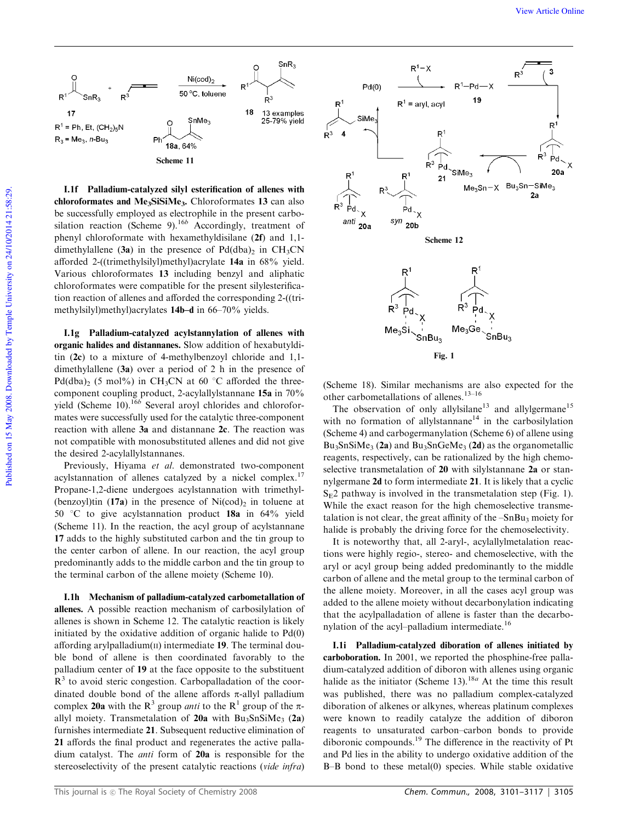

I.1f Palladium-catalyzed silyl esterification of allenes with chloroformates and Me<sub>3</sub>SiSiMe<sub>3</sub>. Chloroformates 13 can also be successfully employed as electrophile in the present carbosilation reaction (Scheme 9).<sup>16*b*</sup> Accordingly, treatment of phenyl chloroformate with hexamethyldisilane (2f) and 1,1 dimethylallene (3a) in the presence of  $Pd(dba)_2$  in CH<sub>3</sub>CN afforded 2-((trimethylsilyl)methyl)acrylate 14a in 68% yield. Various chloroformates 13 including benzyl and aliphatic chloroformates were compatible for the present silylesterification reaction of allenes and afforded the corresponding 2-((trimethylsilyl)methyl)acrylates 14b–d in 66–70% yields.

I.1g Palladium-catalyzed acylstannylation of allenes with organic halides and distannanes. Slow addition of hexabutylditin (2c) to a mixture of 4-methylbenzoyl chloride and 1,1 dimethylallene (3a) over a period of 2 h in the presence of Pd(dba)<sub>2</sub> (5 mol%) in CH<sub>3</sub>CN at 60 °C afforded the threecomponent coupling product, 2-acylallylstannane 15a in 70% yield (Scheme 10).<sup>16b</sup> Several aroyl chlorides and chloroformates were successfully used for the catalytic three-component reaction with allene 3a and distannane 2c. The reaction was not compatible with monosubstituted allenes and did not give the desired 2-acylallylstannanes.

Previously, Hiyama *et al.* demonstrated two-component acylstannation of allenes catalyzed by a nickel complex.<sup>17</sup> Propane-1,2-diene undergoes acylstannation with trimethyl- (benzoyl)tin (17a) in the presence of  $Ni(cod)_2$  in toluene at 50  $\degree$ C to give acylstannation product 18a in 64% yield (Scheme 11). In the reaction, the acyl group of acylstannane 17 adds to the highly substituted carbon and the tin group to the center carbon of allene. In our reaction, the acyl group predominantly adds to the middle carbon and the tin group to the terminal carbon of the allene moiety (Scheme 10).

I.1h Mechanism of palladium-catalyzed carbometallation of allenes. A possible reaction mechanism of carbosilylation of allenes is shown in Scheme 12. The catalytic reaction is likely initiated by the oxidative addition of organic halide to Pd(0) affording arylpalladium $(I)$  intermediate 19. The terminal double bond of allene is then coordinated favorably to the palladium center of 19 at the face opposite to the substituent  $R<sup>3</sup>$  to avoid steric congestion. Carbopalladation of the coordinated double bond of the allene affords  $\pi$ -allyl palladium complex 20a with the R<sup>3</sup> group *anti* to the R<sup>1</sup> group of the  $\pi$ allyl moiety. Transmetalation of  $20a$  with Bu<sub>3</sub>SnSiMe<sub>3</sub> (2a) furnishes intermediate 21. Subsequent reductive elimination of 21 affords the final product and regenerates the active palladium catalyst. The *anti* form of 20a is responsible for the stereoselectivity of the present catalytic reactions (*vide infra*)



(Scheme 18). Similar mechanisms are also expected for the other carbometallations of allenes.13–16

The observation of only allylsilane<sup>13</sup> and allylgermane<sup>15</sup> with no formation of allylstannane<sup>14</sup> in the carbosilylation (Scheme 4) and carbogermanylation (Scheme 6) of allene using  $Bu_3SnSiMe_3$  (2a) and  $Bu_3SnGeMe_3$  (2d) as the organometallic reagents, respectively, can be rationalized by the high chemoselective transmetalation of 20 with silylstannane 2a or stannylgermane 2d to form intermediate 21. It is likely that a cyclic  $S<sub>F</sub>2$  pathway is involved in the transmetalation step (Fig. 1). While the exact reason for the high chemoselective transmetalation is not clear, the great affinity of the  $-SnBu<sub>3</sub>$  moiety for halide is probably the driving force for the chemoselectivity.

It is noteworthy that, all 2-aryl-, acylallylmetalation reactions were highly regio-, stereo- and chemoselective, with the aryl or acyl group being added predominantly to the middle carbon of allene and the metal group to the terminal carbon of the allene moiety. Moreover, in all the cases acyl group was added to the allene moiety without decarbonylation indicating that the acylpalladation of allene is faster than the decarbonylation of the acyl-palladium intermediate.<sup>16</sup>

I.1i Palladium-catalyzed diboration of allenes initiated by carboboration. In 2001, we reported the phosphine-free palladium-catalyzed addition of diboron with allenes using organic halide as the initiator (Scheme 13).<sup>18*a*</sup> At the time this result was published, there was no palladium complex-catalyzed diboration of alkenes or alkynes, whereas platinum complexes were known to readily catalyze the addition of diboron reagents to unsaturated carbon–carbon bonds to provide diboronic compounds.<sup>19</sup> The difference in the reactivity of Pt and Pd lies in the ability to undergo oxidative addition of the B–B bond to these metal(0) species. While stable oxidative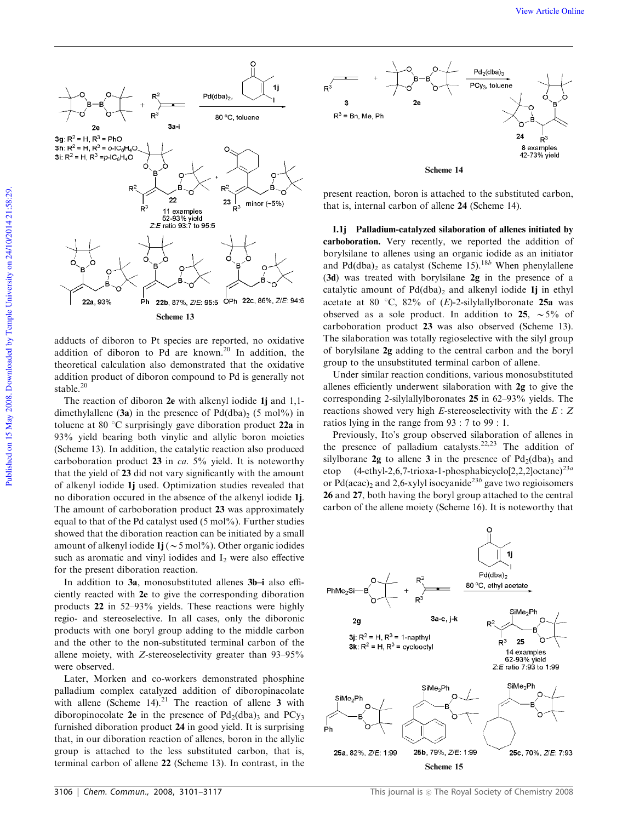

adducts of diboron to Pt species are reported, no oxidative addition of diboron to Pd are known.<sup>20</sup> In addition, the theoretical calculation also demonstrated that the oxidative addition product of diboron compound to Pd is generally not stable.<sup>20</sup>

The reaction of diboron 2e with alkenyl iodide 1j and 1,1dimethylallene (3a) in the presence of  $Pd(dba)_2$  (5 mol%) in toluene at 80  $\degree$ C surprisingly gave diboration product 22a in 93% yield bearing both vinylic and allylic boron moieties (Scheme 13). In addition, the catalytic reaction also produced carboboration product 23 in *ca.* 5% yield. It is noteworthy that the yield of 23 did not vary significantly with the amount of alkenyl iodide 1j used. Optimization studies revealed that no diboration occured in the absence of the alkenyl iodide 1j. The amount of carboboration product 23 was approximately equal to that of the Pd catalyst used  $(5 \text{ mol\%})$ . Further studies showed that the diboration reaction can be initiated by a small amount of alkenyl iodide  $1j (\sim 5 \text{ mol\%})$ . Other organic iodides such as aromatic and vinyl iodides and  $I_2$  were also effective for the present diboration reaction.

In addition to 3a, monosubstituted allenes 3b–i also efficiently reacted with 2e to give the corresponding diboration products 22 in 52–93% yields. These reactions were highly regio- and stereoselective. In all cases, only the diboronic products with one boryl group adding to the middle carbon and the other to the non-substituted terminal carbon of the allene moiety, with *Z*-stereoselectivity greater than 93–95% were observed.

Later, Morken and co-workers demonstrated phosphine palladium complex catalyzed addition of diboropinacolate with allene (Scheme 14).<sup>21</sup> The reaction of allene 3 with diboropinocolate 2e in the presence of  $Pd_2(dba)$ <sub>3</sub> and  $PCy_3$ furnished diboration product 24 in good yield. It is surprising that, in our diboration reaction of allenes, boron in the allylic group is attached to the less substituted carbon, that is, terminal carbon of allene 22 (Scheme 13). In contrast, in the



present reaction, boron is attached to the substituted carbon, that is, internal carbon of allene 24 (Scheme 14).

I.1j Palladium-catalyzed silaboration of allenes initiated by carboboration. Very recently, we reported the addition of borylsilane to allenes using an organic iodide as an initiator and Pd(dba)<sub>2</sub> as catalyst (Scheme 15).<sup>18*b*</sup> When phenylallene (3d) was treated with borylsilane 2g in the presence of a catalytic amount of  $Pd(dba)$ , and alkenyl iodide 1j in ethyl acetate at 80  $\degree$ C, 82% of (*E*)-2-silylallylboronate 25a was observed as a sole product. In addition to 25,  $\sim$  5% of carboboration product 23 was also observed (Scheme 13). The silaboration was totally regioselective with the silyl group of borylsilane 2g adding to the central carbon and the boryl group to the unsubstituted terminal carbon of allene.

Under similar reaction conditions, various monosubstituted allenes efficiently underwent silaboration with 2g to give the corresponding 2-silylallylboronates 25 in 62–93% yields. The reactions showed very high *E*-stereoselectivity with the *E* : *Z* ratios lying in the range from 93 : 7 to 99 : 1.

Previously, Ito's group observed silaboration of allenes in the presence of palladium catalysts.22,23 The addition of silylborane 2g to allene 3 in the presence of  $Pd_2(dba)$ <sub>3</sub> and etop (4-ethyl-2,6,7-trioxa-1-phosphabicyclo[2,2,2]octane)23*<sup>a</sup>* or Pd(acac)<sub>2</sub> and 2,6-xylyl isocyanide<sup>23b</sup> gave two regioisomers 26 and 27, both having the boryl group attached to the central carbon of the allene moiety (Scheme 16). It is noteworthy that

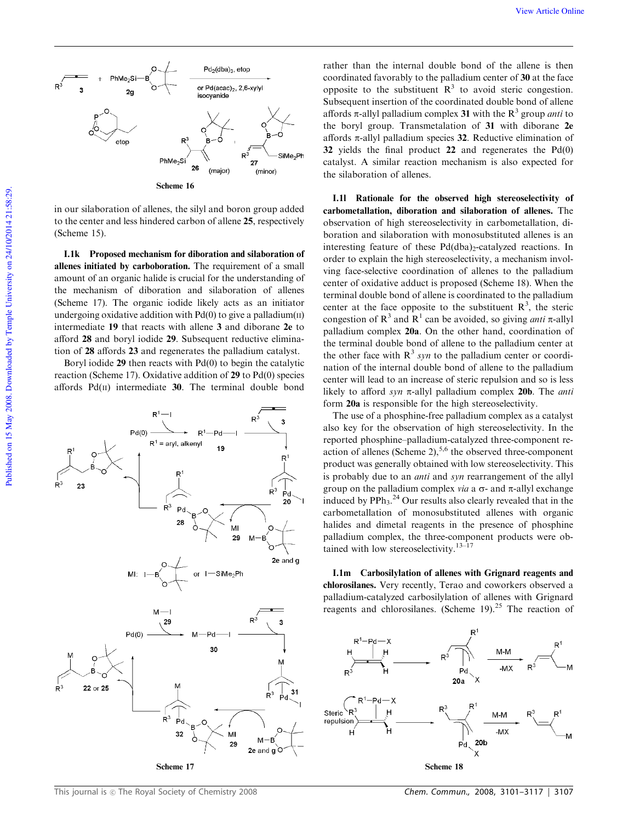

in our silaboration of allenes, the silyl and boron group added to the center and less hindered carbon of allene 25, respectively (Scheme 15).

I.1k Proposed mechanism for diboration and silaboration of allenes initiated by carboboration. The requirement of a small amount of an organic halide is crucial for the understanding of the mechanism of diboration and silaboration of allenes (Scheme 17). The organic iodide likely acts as an initiator undergoing oxidative addition with  $Pd(0)$  to give a palladium $(II)$ intermediate 19 that reacts with allene 3 and diborane 2e to afford 28 and boryl iodide 29. Subsequent reductive elimination of 28 affords 23 and regenerates the palladium catalyst.

Boryl iodide 29 then reacts with Pd(0) to begin the catalytic reaction (Scheme 17). Oxidative addition of 29 to Pd(0) species affords  $Pd(II)$  intermediate 30. The terminal double bond



rather than the internal double bond of the allene is then coordinated favorably to the palladium center of 30 at the face opposite to the substituent  $R<sup>3</sup>$  to avoid steric congestion. Subsequent insertion of the coordinated double bond of allene affords  $\pi$ -allyl palladium complex 31 with the  $R^3$  group *anti* to the boryl group. Transmetalation of 31 with diborane 2e affords  $\pi$ -allyl palladium species 32. Reductive elimination of 32 yields the final product 22 and regenerates the Pd(0) catalyst. A similar reaction mechanism is also expected for the silaboration of allenes.

I.1l Rationale for the observed high stereoselectivity of carbometallation, diboration and silaboration of allenes. The observation of high stereoselectivity in carbometallation, diboration and silaboration with monosubstituted allenes is an interesting feature of these  $Pd(dba)_{2}$ -catalyzed reactions. In order to explain the high stereoselectivity, a mechanism involving face-selective coordination of allenes to the palladium center of oxidative adduct is proposed (Scheme 18). When the terminal double bond of allene is coordinated to the palladium center at the face opposite to the substituent  $\mathbb{R}^3$ , the steric congestion of  $\mathbb{R}^3$  and  $\mathbb{R}^1$  can be avoided, so giving *anti*  $\pi$ -allyl palladium complex 20a. On the other hand, coordination of the terminal double bond of allene to the palladium center at the other face with  $R<sup>3</sup>$  syn to the palladium center or coordination of the internal double bond of allene to the palladium center will lead to an increase of steric repulsion and so is less likely to afford *syn*  $\pi$ -allyl palladium complex **20b**. The *anti* form 20a is responsible for the high stereoselectivity.

The use of a phosphine-free palladium complex as a catalyst also key for the observation of high stereoselectivity. In the reported phosphine–palladium-catalyzed three-component reaction of allenes (Scheme 2),  $5.6$  the observed three-component product was generally obtained with low stereoselectivity. This is probably due to an *anti* and *syn* rearrangement of the allyl group on the palladium complex *via* a  $\sigma$ - and  $\pi$ -allyl exchange induced by  $PPh_3$ .<sup>24</sup> Our results also clearly revealed that in the carbometallation of monosubstituted allenes with organic halides and dimetal reagents in the presence of phosphine palladium complex, the three-component products were obtained with low stereoselectivity.<sup>13–17</sup>

I.1m Carbosilylation of allenes with Grignard reagents and chlorosilanes. Very recently, Terao and coworkers observed a palladium-catalyzed carbosilylation of allenes with Grignard reagents and chlorosilanes. (Scheme 19).<sup>25</sup> The reaction of



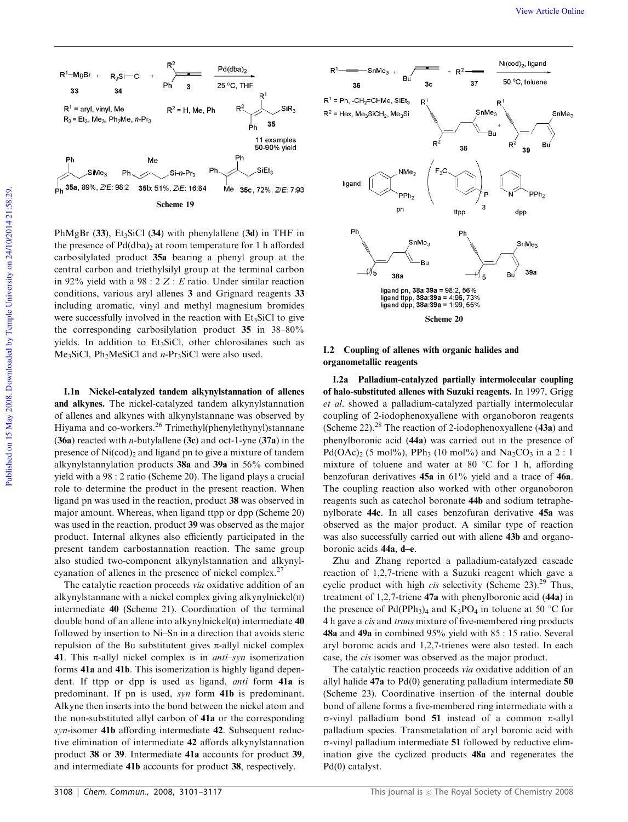

PhMgBr  $(33)$ , Et<sub>3</sub>SiCl  $(34)$  with phenylallene  $(3d)$  in THF in the presence of  $Pd(dba)$ , at room temperature for 1 h afforded carbosilylated product 35a bearing a phenyl group at the central carbon and triethylsilyl group at the terminal carbon in 92% yield with a 98 : 2 *Z* : *E* ratio. Under similar reaction conditions, various aryl allenes 3 and Grignard reagents 33 including aromatic, vinyl and methyl magnesium bromides were successfully involved in the reaction with  $Et<sub>3</sub>SiCl$  to give the corresponding carbosilylation product 35 in 38–80% yields. In addition to  $Et<sub>3</sub>SiCl$ , other chlorosilanes such as Me<sub>3</sub>SiCl, Ph<sub>2</sub>MeSiCl and *n*-Pr<sub>3</sub>SiCl were also used.

I.1n Nickel-catalyzed tandem alkynylstannation of allenes and alkynes. The nickel-catalyzed tandem alkynylstannation of allenes and alkynes with alkynylstannane was observed by Hiyama and co-workers.<sup>26</sup> Trimethyl(phenylethynyl)stannane (36a) reacted with *n*-butylallene (3c) and oct-1-yne (37a) in the presence of  $Ni(cod)_2$  and ligand pn to give a mixture of tandem alkynylstannylation products 38a and 39a in 56% combined yield with a 98 : 2 ratio (Scheme 20). The ligand plays a crucial role to determine the product in the present reaction. When ligand pn was used in the reaction, product 38 was observed in major amount. Whereas, when ligand ttpp or dpp (Scheme 20) was used in the reaction, product 39 was observed as the major product. Internal alkynes also efficiently participated in the present tandem carbostannation reaction. The same group also studied two-component alkynylstannation and alkynylcyanation of allenes in the presence of nickel complex.<sup>27</sup>

The catalytic reaction proceeds *via* oxidative addition of an alkynylstannane with a nickel complex giving alkynylnickel $(II)$ intermediate 40 (Scheme 21). Coordination of the terminal double bond of an allene into alkynylnickel $(II)$  intermediate 40 followed by insertion to Ni–Sn in a direction that avoids steric repulsion of the Bu substitutent gives  $\pi$ -allyl nickel complex 41. This  $\pi$ -allyl nickel complex is in *anti-syn* isomerization forms 41a and 41b. This isomerization is highly ligand dependent. If ttpp or dpp is used as ligand, *anti* form 41a is predominant. If pn is used, *syn* form 41b is predominant. Alkyne then inserts into the bond between the nickel atom and the non-substituted allyl carbon of 41a or the corresponding *syn*-isomer 41b affording intermediate 42. Subsequent reductive elimination of intermediate 42 affords alkynylstannation product 38 or 39. Intermediate 41a accounts for product 39, and intermediate 41b accounts for product 38, respectively.



#### I.2 Coupling of allenes with organic halides and organometallic reagents

I.2a Palladium-catalyzed partially intermolecular coupling of halo-substituted allenes with Suzuki reagents. In 1997, Grigg *et al*. showed a palladium-catalyzed partially intermolecular coupling of 2-iodophenoxyallene with organoboron reagents (Scheme 22). $28$  The reaction of 2-iodophenoxyallene (43a) and phenylboronic acid (44a) was carried out in the presence of Pd(OAc)<sub>2</sub> (5 mol%), PPh<sub>3</sub> (10 mol%) and Na<sub>2</sub>CO<sub>3</sub> in a 2 : 1 mixture of toluene and water at 80  $\degree$ C for 1 h, affording benzofuran derivatives 45a in 61% yield and a trace of 46a. The coupling reaction also worked with other organoboron reagents such as catechol boronate 44b and sodium tetraphenylborate 44c. In all cases benzofuran derivative 45a was observed as the major product. A similar type of reaction was also successfully carried out with allene **43b** and organoboronic acids 44a, d–e.

Zhu and Zhang reported a palladium-catalyzed cascade reaction of 1,2,7-triene with a Suzuki reagent which gave a cyclic product with high *cis* selectivity (Scheme 23).<sup>29</sup> Thus, treatment of 1,2,7-triene 47a with phenylboronic acid (44a) in the presence of Pd(PPh<sub>3</sub>)<sub>4</sub> and K<sub>3</sub>PO<sub>4</sub> in toluene at 50 °C for 4 h gave a *cis* and *trans* mixture of five-membered ring products 48a and 49a in combined 95% yield with 85 : 15 ratio. Several aryl boronic acids and 1,2,7-trienes were also tested. In each case, the *cis* isomer was observed as the major product.

The catalytic reaction proceeds *via* oxidative addition of an allyl halide 47a to Pd(0) generating palladium intermediate 50 (Scheme 23). Coordinative insertion of the internal double bond of allene forms a five-membered ring intermediate with a  $\sigma$ -vinyl palladium bond 51 instead of a common  $\pi$ -allyl palladium species. Transmetalation of aryl boronic acid with  $\sigma$ -vinyl palladium intermediate 51 followed by reductive elimination give the cyclized products 48a and regenerates the Pd(0) catalyst.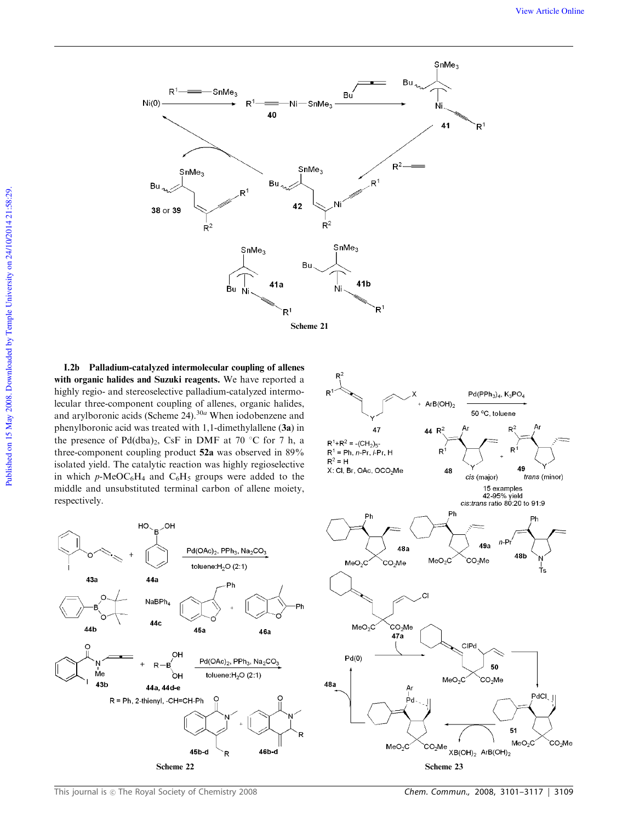

I.2b Palladium-catalyzed intermolecular coupling of allenes with organic halides and Suzuki reagents. We have reported a highly regio- and stereoselective palladium-catalyzed intermolecular three-component coupling of allenes, organic halides, and arylboronic acids (Scheme 24).<sup>30*a*</sup> When iodobenzene and phenylboronic acid was treated with 1,1-dimethylallene (3a) in the presence of  $Pd(dba)<sub>2</sub>$ , CsF in DMF at 70 °C for 7 h, a three-component coupling product 52a was observed in 89% isolated yield. The catalytic reaction was highly regioselective in which  $p$ -MeOC<sub>6</sub>H<sub>4</sub> and C<sub>6</sub>H<sub>5</sub> groups were added to the middle and unsubstituted terminal carbon of allene moiety, respectively.



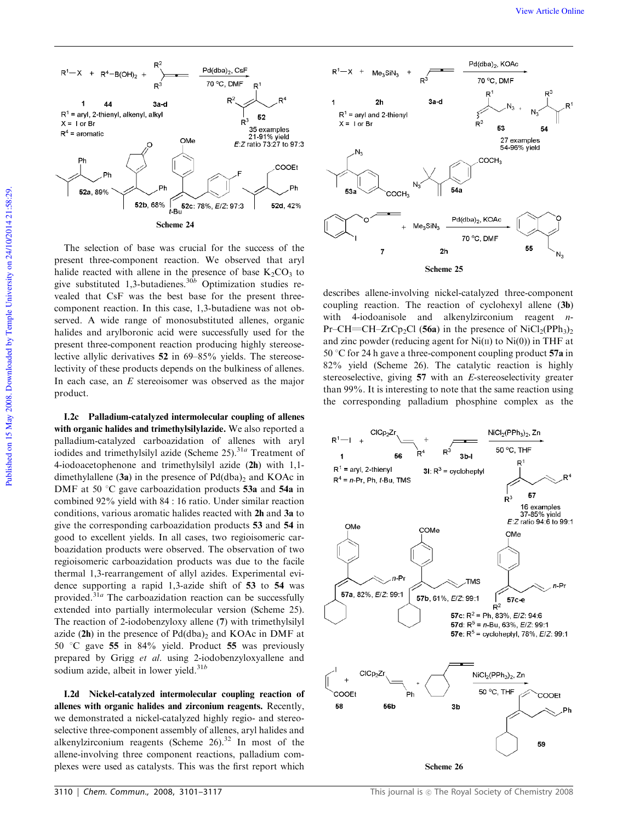

The selection of base was crucial for the success of the present three-component reaction. We observed that aryl halide reacted with allene in the presence of base  $K_2CO_3$  to give substituted 1,3-butadienes.30*<sup>b</sup>* Optimization studies revealed that CsF was the best base for the present threecomponent reaction. In this case, 1,3-butadiene was not observed. A wide range of monosubstituted allenes, organic halides and arylboronic acid were successfully used for the present three-component reaction producing highly stereoselective allylic derivatives 52 in 69–85% yields. The stereoselectivity of these products depends on the bulkiness of allenes. In each case, an *E* stereoisomer was observed as the major product.

I.2c Palladium-catalyzed intermolecular coupling of allenes with organic halides and trimethylsilylazide. We also reported a palladium-catalyzed carboazidation of allenes with aryl iodides and trimethylsilyl azide (Scheme 25).<sup>31a</sup> Treatment of 4-iodoacetophenone and trimethylsilyl azide (2h) with 1,1 dimethylallene  $(3a)$  in the presence of Pd $(dba)$ <sub>2</sub> and KOAc in DMF at 50  $\degree$ C gave carboazidation products 53a and 54a in combined 92% yield with 84 : 16 ratio. Under similar reaction conditions, various aromatic halides reacted with 2h and 3a to give the corresponding carboazidation products 53 and 54 in good to excellent yields. In all cases, two regioisomeric carboazidation products were observed. The observation of two regioisomeric carboazidation products was due to the facile thermal 1,3-rearrangement of allyl azides. Experimental evidence supporting a rapid 1,3-azide shift of 53 to 54 was provided.<sup>31a</sup> The carboazidation reaction can be successfully extended into partially intermolecular version (Scheme 25). The reaction of 2-iodobenzyloxy allene (7) with trimethylsilyl azide  $(2h)$  in the presence of  $Pd(dba)_2$  and KOAc in DMF at 50  $\degree$ C gave 55 in 84% yield. Product 55 was previously prepared by Grigg *et al.* using 2-iodobenzyloxyallene and sodium azide, albeit in lower yield.<sup>31b</sup>

I.2d Nickel-catalyzed intermolecular coupling reaction of allenes with organic halides and zirconium reagents. Recently, we demonstrated a nickel-catalyzed highly regio- and stereoselective three-component assembly of allenes, aryl halides and alkenylzirconium reagents (Scheme  $26$ ).<sup>32</sup> In most of the allene-involving three component reactions, palladium complexes were used as catalysts. This was the first report which



describes allene-involving nickel-catalyzed three-component coupling reaction. The reaction of cyclohexyl allene (3b) with 4-iodoanisole and alkenylzirconium reagent *n*-Pr–CH=CH–ZrCp<sub>2</sub>Cl (56a) in the presence of NiCl<sub>2</sub>(PPh<sub>3</sub>)<sub>2</sub> and zinc powder (reducing agent for  $Ni(II)$  to  $Ni(0)$ ) in THF at 50  $\degree$ C for 24 h gave a three-component coupling product 57a in 82% yield (Scheme 26). The catalytic reaction is highly stereoselective, giving 57 with an *E*-stereoselectivity greater than 99%. It is interesting to note that the same reaction using the corresponding palladium phosphine complex as the

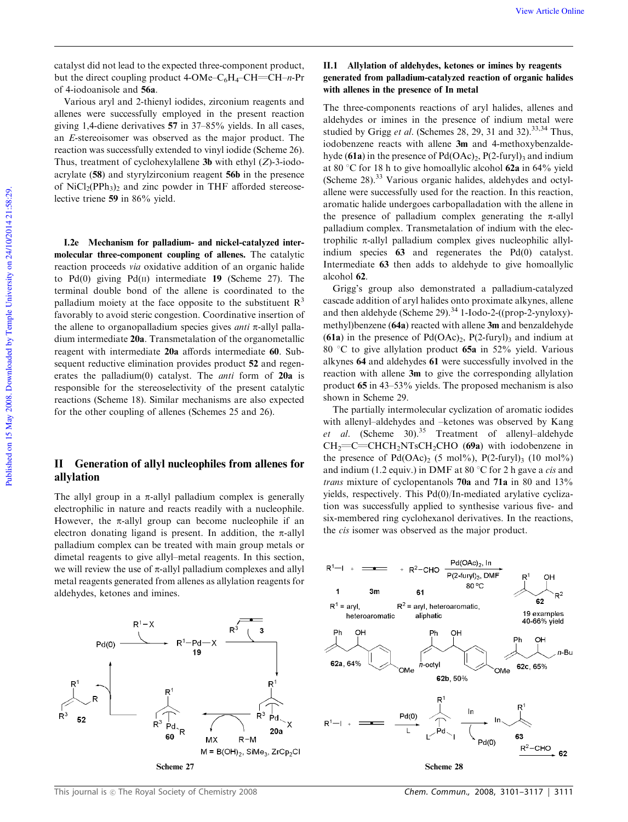catalyst did not lead to the expected three-component product, but the direct coupling product 4-OMe– $C_6H_4$ –CH= $CH-n$ -Pr of 4-iodoanisole and 56a.

Various aryl and 2-thienyl iodides, zirconium reagents and allenes were successfully employed in the present reaction giving 1,4-diene derivatives 57 in 37–85% yields. In all cases, an *E*-stereoisomer was observed as the major product. The reaction was successfully extended to vinyl iodide (Scheme 26). Thus, treatment of cyclohexylallene 3b with ethyl (*Z*)-3-iodoacrylate (58) and styrylzirconium reagent 56b in the presence of  $NiCl<sub>2</sub>(PPh<sub>3</sub>)<sub>2</sub>$  and zinc powder in THF afforded stereoselective triene 59 in 86% yield.

I.2e Mechanism for palladium- and nickel-catalyzed intermolecular three-component coupling of allenes. The catalytic reaction proceeds *via* oxidative addition of an organic halide to Pd $(0)$  giving Pd $(\text{II})$  intermediate 19 (Scheme 27). The terminal double bond of the allene is coordinated to the palladium moiety at the face opposite to the substituent  $R<sup>3</sup>$ favorably to avoid steric congestion. Coordinative insertion of the allene to organopalladium species gives *anti*  $\pi$ -allyl palladium intermediate 20a. Transmetalation of the organometallic reagent with intermediate 20a affords intermediate 60. Subsequent reductive elimination provides product 52 and regenerates the palladium(0) catalyst. The *anti* form of 20a is responsible for the stereoselectivity of the present catalytic reactions (Scheme 18). Similar mechanisms are also expected for the other coupling of allenes (Schemes 25 and 26).

# II Generation of allyl nucleophiles from allenes for allylation

The allyl group in a  $\pi$ -allyl palladium complex is generally electrophilic in nature and reacts readily with a nucleophile. However, the  $\pi$ -allyl group can become nucleophile if an electron donating ligand is present. In addition, the  $\pi$ -allyl palladium complex can be treated with main group metals or dimetal reagents to give allyl–metal reagents. In this section, we will review the use of  $\pi$ -allyl palladium complexes and allyl metal reagents generated from allenes as allylation reagents for aldehydes, ketones and imines.



### II.1 Allylation of aldehydes, ketones or imines by reagents generated from palladium-catalyzed reaction of organic halides with allenes in the presence of In metal

The three-components reactions of aryl halides, allenes and aldehydes or imines in the presence of indium metal were studied by Grigg et al. (Schemes 28, 29, 31 and 32).<sup>33,34</sup> Thus, iodobenzene reacts with allene 3m and 4-methoxybenzaldehyde (61a) in the presence of  $Pd(OAc)_2$ ,  $P(2$ -furyl)<sub>3</sub> and indium at 80 °C for 18 h to give homoallylic alcohol 62a in 64% yield (Scheme 28).<sup>33</sup> Various organic halides, aldehydes and octylallene were successfully used for the reaction. In this reaction, aromatic halide undergoes carbopalladation with the allene in the presence of palladium complex generating the  $\pi$ -allyl palladium complex. Transmetalation of indium with the electrophilic  $\pi$ -allyl palladium complex gives nucleophilic allylindium species 63 and regenerates the Pd(0) catalyst. Intermediate 63 then adds to aldehyde to give homoallylic alcohol 62.

Grigg's group also demonstrated a palladium-catalyzed cascade addition of aryl halides onto proximate alkynes, allene and then aldehyde (Scheme 29).<sup>34</sup> 1-Iodo-2-((prop-2-ynyloxy)methyl)benzene (64a) reacted with allene 3m and benzaldehyde (61a) in the presence of  $Pd(OAc)<sub>2</sub>$ ,  $P(2-furyl)<sub>3</sub>$  and indium at 80 °C to give allylation product 65a in 52% yield. Various alkynes 64 and aldehydes 61 were successfully involved in the reaction with allene 3m to give the corresponding allylation product 65 in 43–53% yields. The proposed mechanism is also shown in Scheme 29.

The partially intermolecular cyclization of aromatic iodides with allenyl–aldehydes and –ketones was observed by Kang *et al*. (Scheme 30).<sup>35</sup> Treatment of allenyl–aldehyde  $CH_2=CHCH_2NTsCH_2CHO$  (69a) with iodobenzene in the presence of  $Pd(OAc)_{2}$  (5 mol%),  $P(2-fury)_{3}$  (10 mol%) and indium (1.2 equiv.) in DMF at 80 °C for 2 h gave a *cis* and *trans* mixture of cyclopentanols 70a and 71a in 80 and 13% yields, respectively. This Pd(0)/In-mediated arylative cyclization was successfully applied to synthesise various five- and six-membered ring cyclohexanol derivatives. In the reactions, the *cis* isomer was observed as the major product.



This journal is  $<sub>©</sub>$  The Royal Society of Chemistry 2008</sub>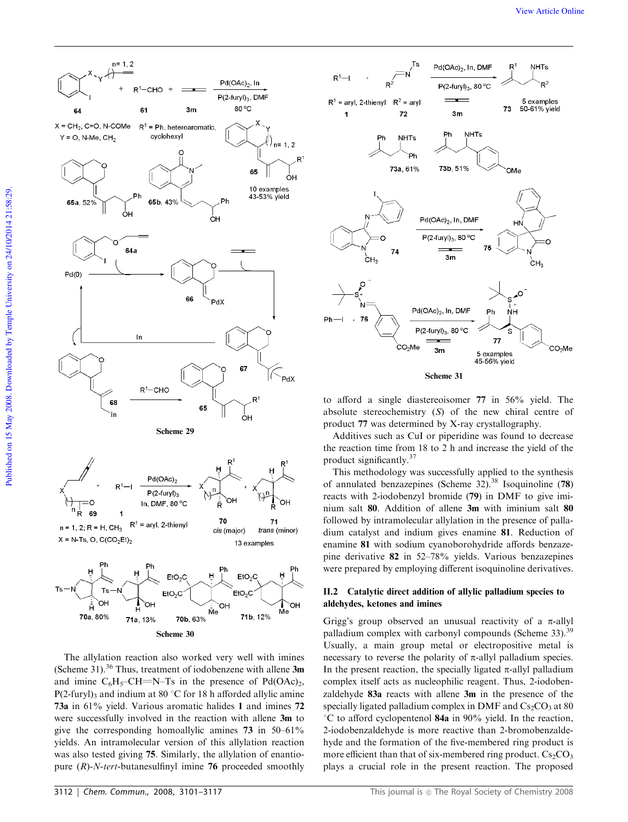

The allylation reaction also worked very well with imines (Scheme 31).<sup>36</sup> Thus, treatment of iodobenzene with allene  $3m$ and imine  $C_6H_5$ –CH=N–Ts in the presence of Pd(OAc)<sub>2</sub>, P(2-furyl)<sub>3</sub> and indium at 80 °C for 18 h afforded allylic amine 73a in 61% yield. Various aromatic halides 1 and imines 72 were successfully involved in the reaction with allene 3m to give the corresponding homoallylic amines 73 in 50–61% yields. An intramolecular version of this allylation reaction was also tested giving 75. Similarly, the allylation of enantiopure (*R*)-*N*-*tert*-butanesulfinyl imine 76 proceeded smoothly



to afford a single diastereoisomer 77 in 56% yield. The absolute stereochemistry (*S*) of the new chiral centre of

product 77 was determined by X-ray crystallography. Additives such as CuI or piperidine was found to decrease

the reaction time from 18 to 2 h and increase the yield of the product significantly.<sup>37</sup>

This methodology was successfully applied to the synthesis of annulated benzazepines (Scheme 32).<sup>38</sup> Isoquinoline (78) reacts with 2-iodobenzyl bromide (79) in DMF to give iminium salt 80. Addition of allene 3m with iminium salt 80 followed by intramolecular allylation in the presence of palladium catalyst and indium gives enamine 81. Reduction of enamine 81 with sodium cyanoborohydride affords benzazepine derivative 82 in 52–78% yields. Various benzazepines were prepared by employing different isoquinoline derivatives.

#### II.2 Catalytic direct addition of allylic palladium species to aldehydes, ketones and imines

Grigg's group observed an unusual reactivity of a  $\pi$ -allyl palladium complex with carbonyl compounds (Scheme 33).<sup>39</sup> Usually, a main group metal or electropositive metal is necessary to reverse the polarity of  $\pi$ -allyl palladium species. In the present reaction, the specially ligated  $\pi$ -allyl palladium complex itself acts as nucleophilic reagent. Thus, 2-iodobenzaldehyde 83a reacts with allene 3m in the presence of the specially ligated palladium complex in DMF and  $Cs_2CO_3$  at 80  $\degree$ C to afford cyclopentenol 84a in 90% yield. In the reaction, 2-iodobenzaldehyde is more reactive than 2-bromobenzaldehyde and the formation of the five-membered ring product is more efficient than that of six-membered ring product.  $Cs_2CO_3$ plays a crucial role in the present reaction. The proposed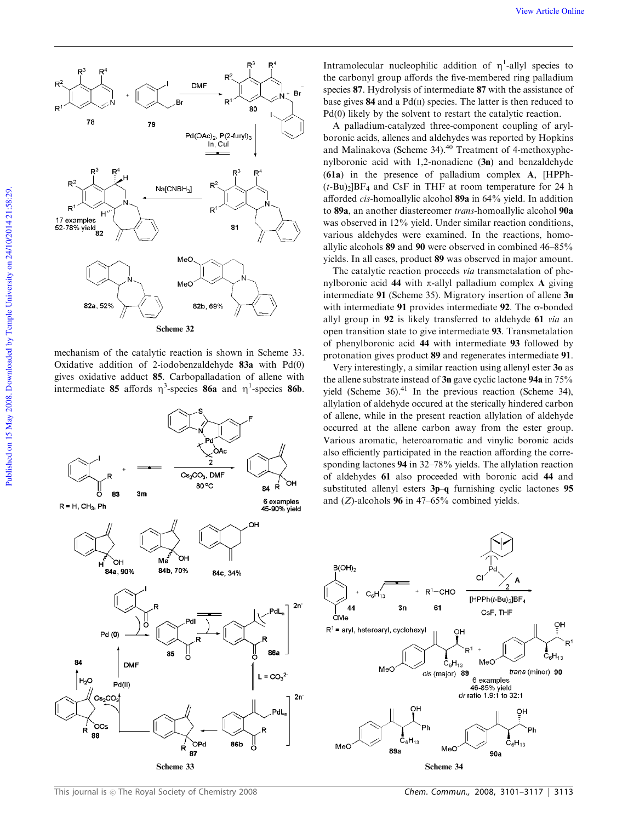

mechanism of the catalytic reaction is shown in Scheme 33. Oxidative addition of 2-iodobenzaldehyde 83a with Pd(0) gives oxidative adduct 85. Carbopalladation of allene with intermediate 85 affords  $\eta^3$ -species 86a and  $\eta^1$ -species 86b.



Intramolecular nucleophilic addition of  $\eta$ <sup>1</sup>-allyl species to the carbonyl group affords the five-membered ring palladium species 87. Hydrolysis of intermediate 87 with the assistance of base gives  $84$  and a Pd( $\pi$ ) species. The latter is then reduced to Pd(0) likely by the solvent to restart the catalytic reaction.

A palladium-catalyzed three-component coupling of arylboronic acids, allenes and aldehydes was reported by Hopkins and Malinakova (Scheme 34).<sup>40</sup> Treatment of 4-methoxyphenylboronic acid with 1,2-nonadiene (3n) and benzaldehyde (61a) in the presence of palladium complex A, [HPPh-  $(t-Bu)$ <sub>2</sub>]BF<sub>4</sub> and CsF in THF at room temperature for 24 h afforded *cis*-homoallylic alcohol 89a in 64% yield. In addition to 89a, an another diastereomer *trans*-homoallylic alcohol 90a was observed in 12% yield. Under similar reaction conditions, various aldehydes were examined. In the reactions, homoallylic alcohols 89 and 90 were observed in combined 46–85% yields. In all cases, product 89 was observed in major amount.

The catalytic reaction proceeds *via* transmetalation of phenylboronic acid 44 with  $\pi$ -allyl palladium complex A giving intermediate 91 (Scheme 35). Migratory insertion of allene 3n with intermediate 91 provides intermediate 92. The  $\sigma$ -bonded allyl group in 92 is likely transferred to aldehyde 61 *via* an open transition state to give intermediate 93. Transmetalation of phenylboronic acid 44 with intermediate 93 followed by protonation gives product 89 and regenerates intermediate 91.

Very interestingly, a similar reaction using allenyl ester 3o as the allene substrate instead of 3n gave cyclic lactone 94a in 75% vield (Scheme 36). $41$  In the previous reaction (Scheme 34), allylation of aldehyde occured at the sterically hindered carbon of allene, while in the present reaction allylation of aldehyde occurred at the allene carbon away from the ester group. Various aromatic, heteroaromatic and vinylic boronic acids also efficiently participated in the reaction affording the corresponding lactones 94 in 32–78% yields. The allylation reaction of aldehydes 61 also proceeded with boronic acid 44 and substituted allenyl esters 3p–q furnishing cyclic lactones 95 and (*Z*)-alcohols 96 in 47–65% combined yields.



This journal is  $<sub>©</sub>$  The Royal Society of Chemistry 2008</sub>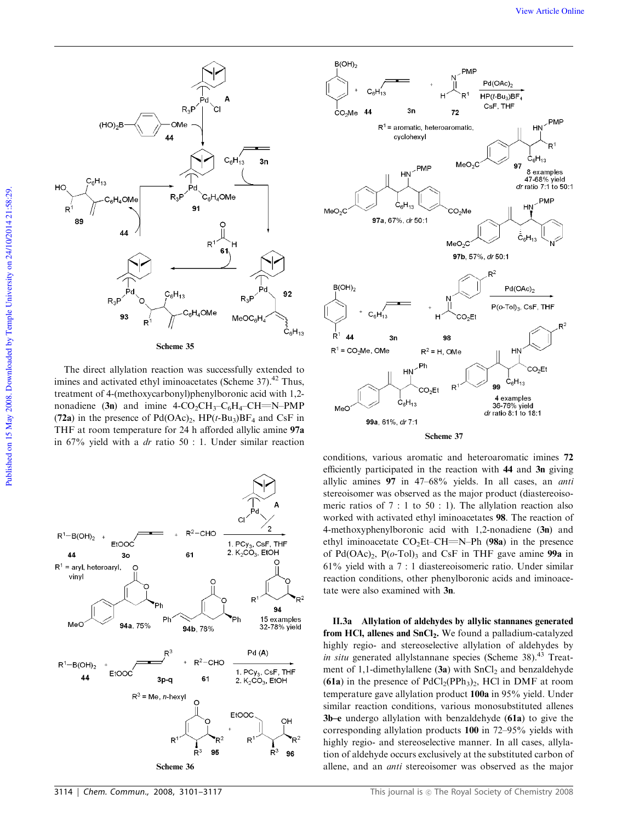

The direct allylation reaction was successfully extended to imines and activated ethyl iminoacetates (Scheme  $37$ ).<sup>42</sup> Thus, treatment of 4-(methoxycarbonyl)phenylboronic acid with 1,2 nonadiene (3n) and imine  $4$ -CO<sub>2</sub>CH<sub>3</sub>-C<sub>6</sub>H<sub>4</sub>-CH=N-PMP (72a) in the presence of  $Pd(OAc)_2$ ,  $HP(t-Bu_3)BF_4$  and CsF in THF at room temperature for 24 h afforded allylic amine 97a in 67% yield with a *dr* ratio 50 : 1. Under similar reaction



Scheme 36





conditions, various aromatic and heteroaromatic imines 72 efficiently participated in the reaction with 44 and 3n giving allylic amines 97 in 47–68% yields. In all cases, an *anti* stereoisomer was observed as the major product (diastereoisomeric ratios of 7 : 1 to 50 : 1). The allylation reaction also worked with activated ethyl iminoacetates 98. The reaction of 4-methoxyphenylboronic acid with 1,2-nonadiene (3n) and ethyl iminoacetate  $CO<sub>2</sub>Et–CH=NPh (98a)$  in the presence of  $Pd(OAc)_2$ ,  $P(o-Tol)_3$  and CsF in THF gave amine **99a** in 61% yield with a 7 : 1 diastereoisomeric ratio. Under similar reaction conditions, other phenylboronic acids and iminoacetate were also examined with 3n.

II.3a Allylation of aldehydes by allylic stannanes generated from HCl, allenes and SnCl<sub>2</sub>. We found a palladium-catalyzed highly regio- and stereoselective allylation of aldehydes by *in situ* generated allylstannane species (Scheme 38).<sup>43</sup> Treatment of 1,1-dimethylallene  $(3a)$  with  $SnCl<sub>2</sub>$  and benzaldehyde (61a) in the presence of  $PdCl<sub>2</sub>(PPh<sub>3</sub>)<sub>2</sub>$ , HCl in DMF at room temperature gave allylation product 100a in 95% yield. Under similar reaction conditions, various monosubstituted allenes 3b–e undergo allylation with benzaldehyde (61a) to give the corresponding allylation products 100 in 72–95% yields with highly regio- and stereoselective manner. In all cases, allylation of aldehyde occurs exclusively at the substituted carbon of allene, and an *anti* stereoisomer was observed as the major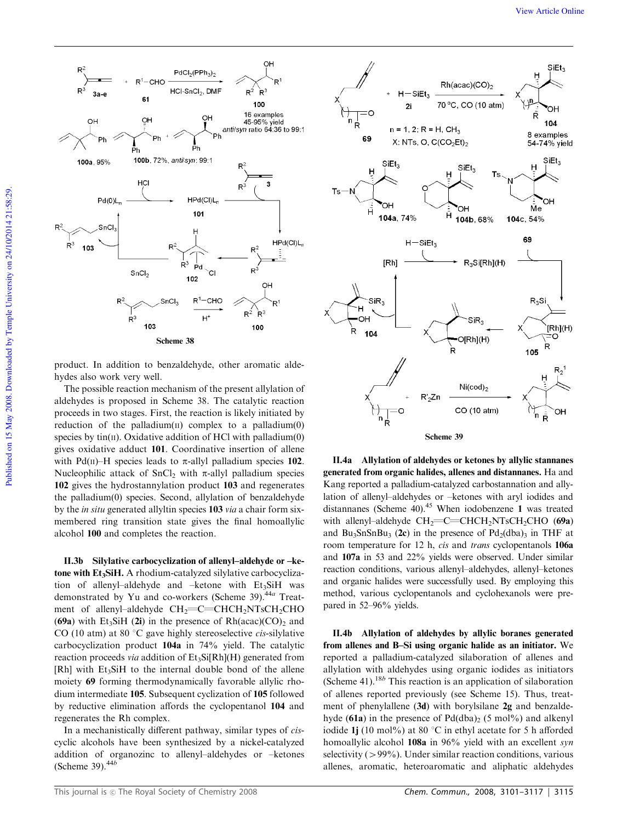

product. In addition to benzaldehyde, other aromatic aldehydes also work very well.

The possible reaction mechanism of the present allylation of aldehydes is proposed in Scheme 38. The catalytic reaction proceeds in two stages. First, the reaction is likely initiated by reduction of the palladium $(II)$  complex to a palladium $(0)$ species by  $tin(II)$ . Oxidative addition of HCl with palladium $(0)$ gives oxidative adduct 101. Coordinative insertion of allene with Pd(II)–H species leads to  $\pi$ -allyl palladium species 102. Nucleophilic attack of SnCl<sub>2</sub> with  $\pi$ -allyl palladium species 102 gives the hydrostannylation product 103 and regenerates the palladium(0) species. Second, allylation of benzaldehyde by the *in situ* generated allyltin species 103 *via* a chair form sixmembered ring transition state gives the final homoallylic alcohol 100 and completes the reaction.

II.3b Silylative carbocyclization of allenyl–aldehyde or –ketone with Et<sub>3</sub>SiH. A rhodium-catalyzed silylative carbocyclization of allenyl-aldehyde and -ketone with  $Et<sub>3</sub>SiH$  was demonstrated by Yu and co-workers (Scheme 39).44*<sup>a</sup>* Treatment of allenyl-aldehyde  $CH_2=$ C=CHCH<sub>2</sub>NTsCH<sub>2</sub>CHO (69a) with Et<sub>3</sub>SiH (2i) in the presence of  $Rh(acac)(CO)<sub>2</sub>$  and CO (10 atm) at 80 °C gave highly stereoselective *cis*-silylative carbocyclization product 104a in 74% yield. The catalytic reaction proceeds *via* addition of Et<sub>3</sub>Si[Rh](H) generated from [Rh] with Et<sub>3</sub>SiH to the internal double bond of the allene moiety 69 forming thermodynamically favorable allylic rhodium intermediate 105. Subsequent cyclization of 105 followed by reductive elimination affords the cyclopentanol 104 and regenerates the Rh complex.

In a mechanistically different pathway, similar types of *cis*cyclic alcohols have been synthesized by a nickel-catalyzed addition of organozinc to allenyl–aldehydes or –ketones (Scheme 39).44*<sup>b</sup>*



II.4a Allylation of aldehydes or ketones by allylic stannanes generated from organic halides, allenes and distannanes. Ha and Kang reported a palladium-catalyzed carbostannation and allylation of allenyl–aldehydes or –ketones with aryl iodides and distannanes (Scheme 40).<sup>45</sup> When iodobenzene 1 was treated with allenyl-aldehyde  $CH_2=CHCH_2NTsCH_2CHO$  (69a) and Bu<sub>3</sub>SnSnBu<sub>3</sub> (2c) in the presence of  $Pd_2(dba)$ <sub>3</sub> in THF at room temperature for 12 h, *cis* and *trans* cyclopentanols 106a and 107a in 53 and 22% yields were observed. Under similar reaction conditions, various allenyl–aldehydes, allenyl–ketones and organic halides were successfully used. By employing this method, various cyclopentanols and cyclohexanols were prepared in 52–96% yields.

II.4b Allylation of aldehydes by allylic boranes generated from allenes and B–Si using organic halide as an initiator. We reported a palladium-catalyzed silaboration of allenes and allylation with aldehydes using organic iodides as initiators (Scheme 41).<sup>18*b*</sup> This reaction is an application of silaboration of allenes reported previously (see Scheme 15). Thus, treatment of phenylallene (3d) with borylsilane 2g and benzaldehyde (61a) in the presence of  $Pd(dba)$ <sub>2</sub> (5 mol%) and alkenyl iodide 1j (10 mol%) at 80  $\degree$ C in ethyl acetate for 5 h afforded homoallylic alcohol 108a in 96% yield with an excellent *syn* selectivity  $(>99\%)$ . Under similar reaction conditions, various allenes, aromatic, heteroaromatic and aliphatic aldehydes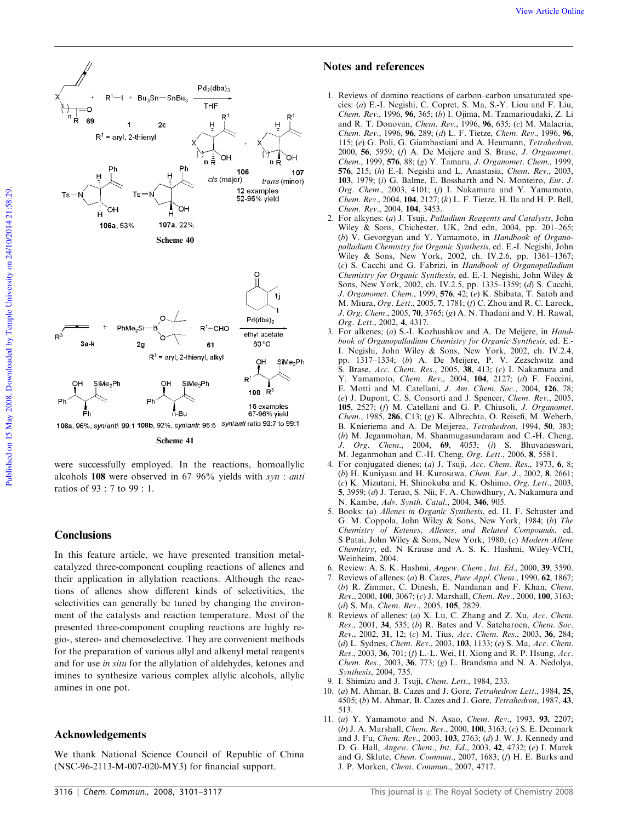

Scheme 41

were successfully employed. In the reactions, homoallylic alcohols 108 were observed in 67–96% yields with *syn* : *anti* ratios of 93 : 7 to 99 : 1.

## **Conclusions**

In this feature article, we have presented transition metalcatalyzed three-component coupling reactions of allenes and their application in allylation reactions. Although the reactions of allenes show different kinds of selectivities, the selectivities can generally be tuned by changing the environment of the catalysts and reaction temperature. Most of the presented three-component coupling reactions are highly regio-, stereo- and chemoselective. They are convenient methods for the preparation of various allyl and alkenyl metal reagents and for use *in situ* for the allylation of aldehydes, ketones and imines to synthesize various complex allylic alcohols, allylic amines in one pot.

# Acknowledgements

We thank National Science Council of Republic of China (NSC-96-2113-M-007-020-MY3) for financial support.

## Notes and references

- 1. Reviews of domino reactions of carbon–carbon unsaturated species: (*a*) E.-I. Negishi, C. Copret, S. Ma, S.-Y. Liou and F. Liu, *Chem. Rev.*, 1996, 96, 365; (*b*) I. Ojima, M. Tzamarioudaki, Z. Li and R. T. Donovan, *Chem. Rev.*, 1996, 96, 635; (*c*) M. Malacria, *Chem. Rev.*, 1996, 96, 289; (*d*) L. F. Tietze, *Chem. Rev.*, 1996, 96, 115; (*e*) G. Poli, G. Giambastiani and A. Heumann, *Tetrahedron*, 2000, 56, 5959; (*f*) A. De Meijere and S. Brase, *J. Organomet. Chem.*, 1999, 576, 88; (*g*) Y. Tamaru, *J. Organomet. Chem.*, 1999, 576, 215; (*h*) E.-I. Negishi and L. Anastasia, *Chem. Rev.*, 2003, 103, 1979; (*i*) G. Balme, E. Bossharth and N. Monteiro, *Eur. J. Org. Chem.*, 2003, 4101; (*j*) I. Nakamura and Y. Yamamoto, *Chem. Rev.*, 2004, 104, 2127; (*k*) L. F. Tietze, H. Ila and H. P. Bell, *Chem. Rev.*, 2004, 104, 3453.
- 2. For alkynes: (*a*) J. Tsuji, *Palladium Reagents and Catalysts*, John Wiley & Sons, Chichester, UK, 2nd edn, 2004, pp. 201–265; (*b*) V. Gevorgyan and Y. Yamamoto, in *Handbook of Organopalladium Chemistry for Organic Synthesis*, ed. E.-I. Negishi, John Wiley & Sons, New York, 2002, ch. IV.2.6, pp. 1361–1367; (*c*) S. Cacchi and G. Fabrizi, in *Handbook of Organopalladium Chemistry for Organic Synthesis*, ed. E.-I. Negishi, John Wiley & Sons, New York, 2002, ch. IV.2.5, pp. 1335–1359; (*d*) S. Cacchi, *J. Organomet. Chem.*, 1999, 576, 42; (*e*) K. Shibata, T. Satoh and M. Miura, *Org. Lett.*, 2005, 7, 1781; (*f*) C. Zhou and R. C. Larock, *J. Org. Chem.*, 2005, 70, 3765; (*g*) A. N. Thadani and V. H. Rawal, *Org. Lett.*, 2002, 4, 4317.
- 3. For alkenes; (*a*) S.-I. Kozhushkov and A. De Meijere, in *Handbook of Organopalladium Chemistry for Organic Synthesis*, ed. E.- I. Negishi, John Wiley & Sons, New York, 2002, ch. IV.2.4, pp. 1317–1334; (*b*) A. De Meijere, P. V. Zezschwitz and S. Brase, *Acc. Chem. Res.*, 2005, 38, 413; (*c*) I. Nakamura and Y. Yamamoto, *Chem. Rev.*, 2004, 104, 2127; (*d*) F. Faccini, E. Motti and M. Catellani, *J. Am. Chem. Soc.*, 2004, 126, 78; (*e*) J. Dupont, C. S. Consorti and J. Spencer, *Chem. Rev.*, 2005, 105, 2527; (*f*) M. Catellani and G. P. Chiusoli, *J. Organomet. Chem.*, 1985, 286, C13; (*g*) K. Albrechta, O. Reisefi, M. Weberb, B. Knieriema and A. De Meijerea, *Tetrahedron*, 1994, 50, 383; (*h*) M. Jeganmohan, M. Shanmugasundaram and C.-H. Cheng, *J. Org. Chem.*, 2004, 69, 4053; (*i*) S. Bhuvaneswari, M. Jeganmohan and C.-H. Cheng, *Org. Lett.*, 2006, 8, 5581.
- 4. For conjugated dienes; (*a*) J. Tsuji, *Acc. Chem. Res.*, 1973, 6, 8; (*b*) H. Kuniyasu and H. Kurosawa, *Chem. Eur. J.*, 2002, 8, 2661; (*c*) K. Mizutani, H. Shinokuba and K. Oshimo, *Org. Lett.*, 2003, 5, 3959; (*d*) J. Terao, S. Nii, F. A. Chowdhury, A. Nakamura and N. Kambe, *Adv. Synth. Catal.*, 2004, 346, 905.
- 5. Books: (*a*) *Allenes in Organic Synthesis*, ed. H. F. Schuster and G. M. Coppola, John Wiley & Sons, New York, 1984; (*b*) *The Chemistry of Ketenes, Allenes, and Related Compounds*, ed. S Patai, John Wiley & Sons, New York, 1980; (*c*) *Modern Allene Chemistry*, ed. N Krause and A. S. K. Hashmi, Wiley-VCH, Weinheim, 2004.
- 6. Review: A. S. K. Hashmi, *Angew. Chem., Int. Ed.*, 2000, 39, 3590.
- 7. Reviews of allenes: (*a*) B. Cazes, *Pure Appl. Chem.*, 1990, 62, 1867; (*b*) R. Zimmer, C. Dinesh, E. Nandanan and F. Khan, *Chem. Rev.*, 2000, 100, 3067; (*c*) J. Marshall, *Chem. Rev.*, 2000, 100, 3163; (*d*) S. Ma, *Chem. Rev.*, 2005, 105, 2829.
- 8. Reviews of allenes: (*a*) X. Lu, C. Zhang and Z. Xu, *Acc. Chem. Res.*, 2001, 34, 535; (*b*) R. Bates and V. Satcharoen, *Chem. Soc. Rev.*, 2002, 31, 12; (*c*) M. Tius, *Acc. Chem. Res.*, 2003, 36, 284; (*d*) L. Sydnes, *Chem. Rev.*, 2003, 103, 1133; (*e*) S. Ma, *Acc. Chem. Res.*, 2003, 36, 701; (*f*) L.-L. Wei, H. Xiong and R. P. Hsung, *Acc. Chem. Res.*, 2003, 36, 773; (*g*) L. Brandsma and N. A. Nedolya, *Synthesis*, 2004, 735.
- 9. I. Shimizu and J. Tsuji, *Chem. Lett.*, 1984, 233.
- 10. (*a*) M. Ahmar, B. Cazes and J. Gore, *Tetrahedron Lett.*, 1984, 25, 4505; (*b*) M. Ahmar, B. Cazes and J. Gore, *Tetrahedron*, 1987, 43, 513.
- 11. (*a*) Y. Yamamoto and N. Asao, *Chem. Rev.*, 1993, 93, 2207; (*b*) J. A. Marshall, *Chem. Rev.*, 2000, 100, 3163; (*c*) S. E. Denmark and J. Fu, *Chem. Rev.*, 2003, 103, 2763; (*d*) J. W. J. Kennedy and D. G. Hall, *Angew. Chem., Int. Ed.*, 2003, 42, 4732; (*e*) I. Marek and G. Sklute, *Chem. Commun.*, 2007, 1683; (*f*) H. E. Burks and J. P. Morken, *Chem. Commun.*, 2007, 4717.